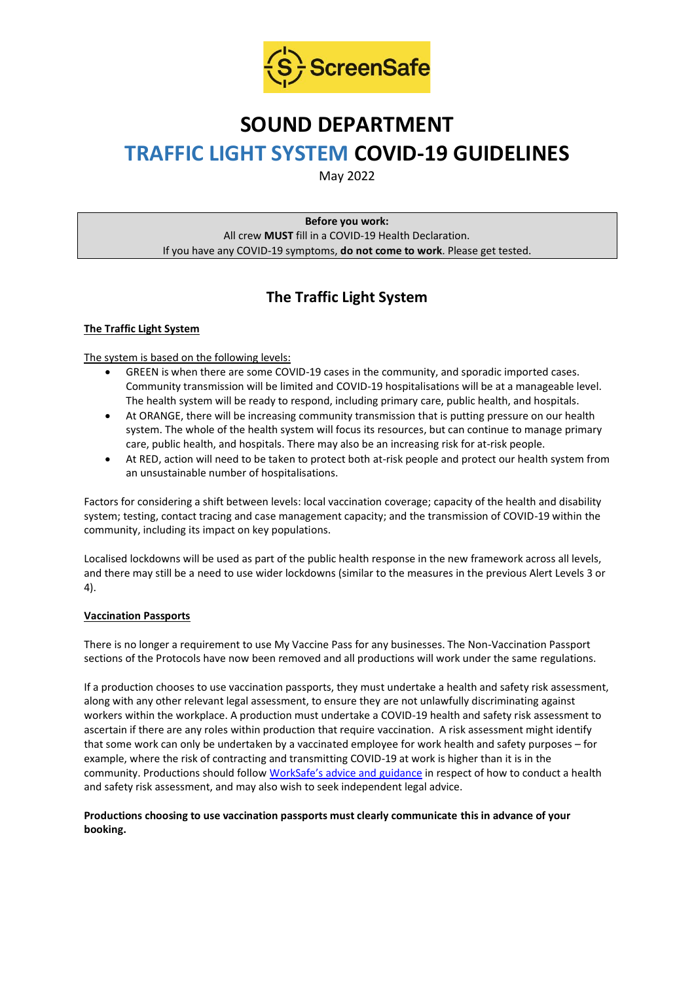

# **SOUND DEPARTMENT TRAFFIC LIGHT SYSTEM COVID-19 GUIDELINES**

May 2022

**Before you work:** All crew **MUST** fill in a COVID-19 Health Declaration. If you have any COVID-19 symptoms, **do not come to work**. Please get tested.

# **The Traffic Light System**

# **The Traffic Light System**

The system is based on the following levels:

- GREEN is when there are some COVID-19 cases in the community, and sporadic imported cases. Community transmission will be limited and COVID-19 hospitalisations will be at a manageable level. The health system will be ready to respond, including primary care, public health, and hospitals.
- At ORANGE, there will be increasing community transmission that is putting pressure on our health system. The whole of the health system will focus its resources, but can continue to manage primary care, public health, and hospitals. There may also be an increasing risk for at-risk people.
- At RED, action will need to be taken to protect both at-risk people and protect our health system from an unsustainable number of hospitalisations.

Factors for considering a shift between levels: local vaccination coverage; capacity of the health and disability system; testing, contact tracing and case management capacity; and the transmission of COVID-19 within the community, including its impact on key populations.

Localised lockdowns will be used as part of the public health response in the new framework across all levels, and there may still be a need to use wider lockdowns (similar to the measures in the previous Alert Levels 3 or 4).

# **Vaccination Passports**

There is no longer a requirement to use My Vaccine Pass for any businesses. The Non-Vaccination Passport sections of the Protocols have now been removed and all productions will work under the same regulations.

If a production chooses to use vaccination passports, they must undertake a health and safety risk assessment, along with any other relevant legal assessment, to ensure they are not unlawfully discriminating against workers within the workplace. A production must undertake a COVID-19 health and safety risk assessment to ascertain if there are any roles within production that require vaccination. A risk assessment might identify that some work can only be undertaken by a vaccinated employee for work health and safety purposes – for example, where the risk of contracting and transmitting COVID-19 at work is higher than it is in the community. Productions should follow [WorkSafe's advice and guidance](https://www.worksafe.govt.nz/managing-health-and-safety/novel-coronavirus-covid/covid-19-controls-at-work/) in respect of how to conduct a health and safety risk assessment, and may also wish to seek independent legal advice.

# **Productions choosing to use vaccination passports must clearly communicate this in advance of your booking.**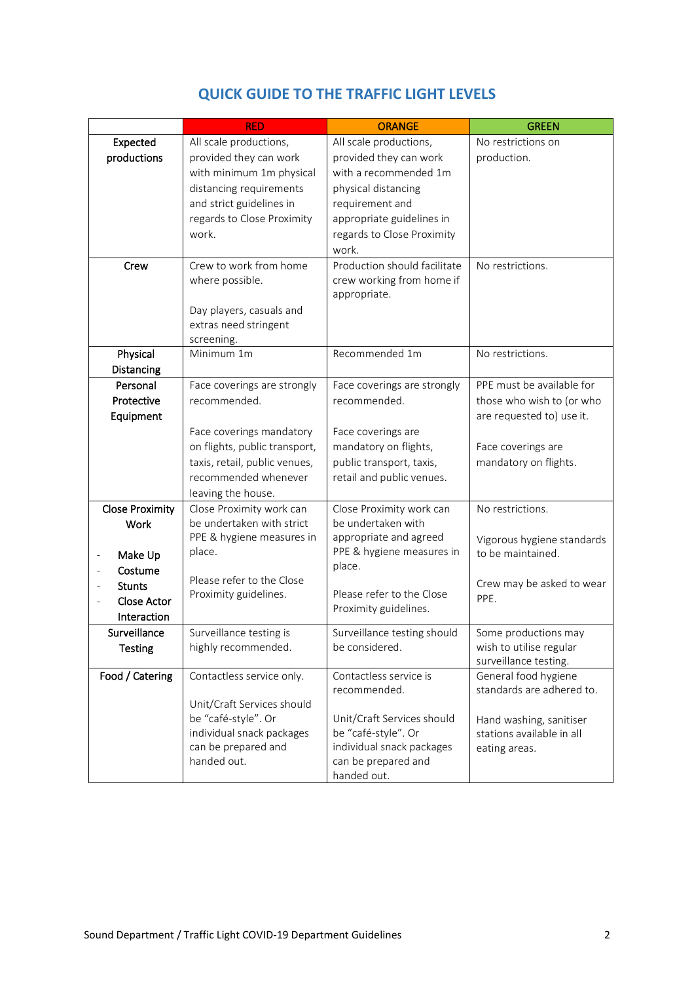|                                         | <b>RED</b>                    | <b>ORANGE</b>                | <b>GREEN</b>               |
|-----------------------------------------|-------------------------------|------------------------------|----------------------------|
| Expected                                | All scale productions,        | All scale productions,       | No restrictions on         |
| productions                             | provided they can work        | provided they can work       | production.                |
|                                         | with minimum 1m physical      | with a recommended 1m        |                            |
|                                         | distancing requirements       | physical distancing          |                            |
|                                         | and strict guidelines in      | requirement and              |                            |
|                                         | regards to Close Proximity    | appropriate guidelines in    |                            |
|                                         | work.                         | regards to Close Proximity   |                            |
|                                         |                               | work.                        |                            |
| Crew                                    | Crew to work from home        | Production should facilitate | No restrictions.           |
|                                         | where possible.               | crew working from home if    |                            |
|                                         |                               | appropriate.                 |                            |
|                                         | Day players, casuals and      |                              |                            |
|                                         | extras need stringent         |                              |                            |
|                                         | screening.                    |                              |                            |
| Physical                                | Minimum 1m                    | Recommended 1m               | No restrictions.           |
| Distancing                              |                               |                              |                            |
| Personal                                | Face coverings are strongly   | Face coverings are strongly  | PPE must be available for  |
| Protective                              | recommended.                  | recommended.                 | those who wish to (or who  |
| Equipment                               |                               |                              | are requested to) use it.  |
|                                         | Face coverings mandatory      | Face coverings are           |                            |
|                                         | on flights, public transport, | mandatory on flights,        | Face coverings are         |
|                                         | taxis, retail, public venues, | public transport, taxis,     | mandatory on flights.      |
|                                         | recommended whenever          | retail and public venues.    |                            |
|                                         | leaving the house.            |                              |                            |
| <b>Close Proximity</b>                  | Close Proximity work can      | Close Proximity work can     | No restrictions.           |
| <b>Work</b>                             | be undertaken with strict     | be undertaken with           |                            |
|                                         | PPE & hygiene measures in     | appropriate and agreed       | Vigorous hygiene standards |
| Make Up<br>$\qquad \qquad \blacksquare$ | place.                        | PPE & hygiene measures in    | to be maintained.          |
| Costume                                 |                               | place.                       |                            |
| <b>Stunts</b>                           | Please refer to the Close     |                              | Crew may be asked to wear  |
| <b>Close Actor</b>                      | Proximity guidelines.         | Please refer to the Close    | PPE.                       |
| Interaction                             |                               | Proximity guidelines.        |                            |
| Surveillance                            | Surveillance testing is       | Surveillance testing should  | Some productions may       |
| <b>Testing</b>                          | highly recommended.           | be considered.               | wish to utilise regular    |
|                                         |                               |                              | surveillance testing.      |
| Food / Catering                         | Contactless service only.     | Contactless service is       | General food hygiene       |
|                                         |                               | recommended.                 | standards are adhered to.  |
|                                         | Unit/Craft Services should    |                              |                            |
|                                         | be "café-style". Or           | Unit/Craft Services should   | Hand washing, sanitiser    |
|                                         | individual snack packages     | be "café-style". Or          | stations available in all  |
|                                         | can be prepared and           | individual snack packages    | eating areas.              |
|                                         | handed out.                   | can be prepared and          |                            |
|                                         |                               | handed out.                  |                            |

# **QUICK GUIDE TO THE TRAFFIC LIGHT LEVELS**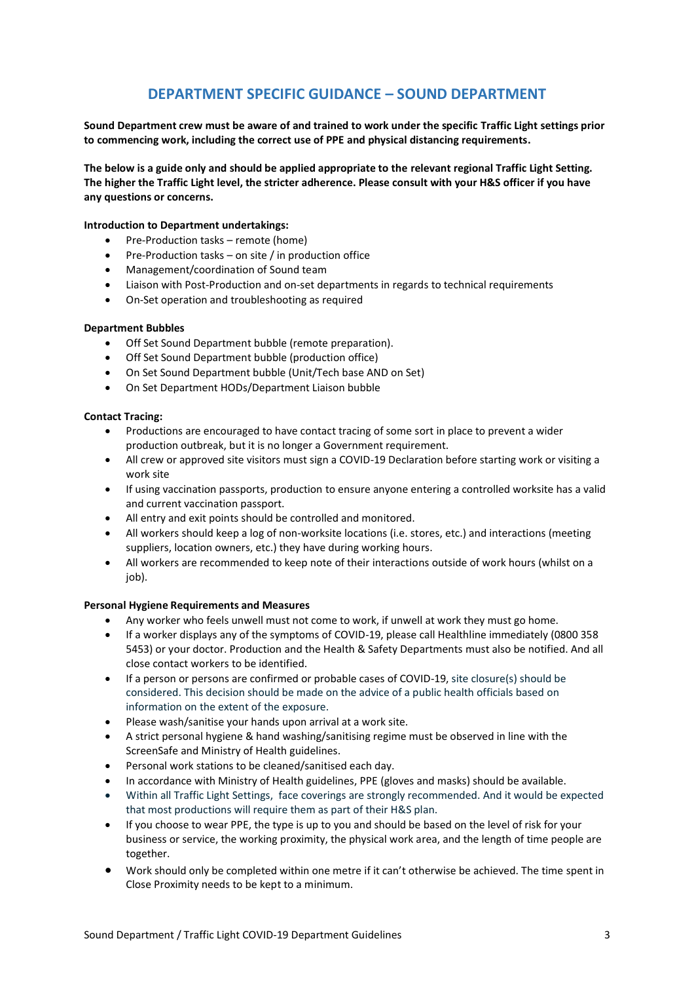# **DEPARTMENT SPECIFIC GUIDANCE – SOUND DEPARTMENT**

**Sound Department crew must be aware of and trained to work under the specific Traffic Light settings prior to commencing work, including the correct use of PPE and physical distancing requirements.**

**The below is a guide only and should be applied appropriate to the relevant regional Traffic Light Setting. The higher the Traffic Light level, the stricter adherence. Please consult with your H&S officer if you have any questions or concerns.**

#### **Introduction to Department undertakings:**

- Pre-Production tasks remote (home)
- Pre-Production tasks on site / in production office
- Management/coordination of Sound team
- Liaison with Post-Production and on-set departments in regards to technical requirements
- On-Set operation and troubleshooting as required

#### **Department Bubbles**

- Off Set Sound Department bubble (remote preparation).
- Off Set Sound Department bubble (production office)
- On Set Sound Department bubble (Unit/Tech base AND on Set)
- On Set Department HODs/Department Liaison bubble

#### **Contact Tracing:**

- Productions are encouraged to have contact tracing of some sort in place to prevent a wider production outbreak, but it is no longer a Government requirement.
- All crew or approved site visitors must sign a COVID-19 Declaration before starting work or visiting a work site
- If using vaccination passports, production to ensure anyone entering a controlled worksite has a valid and current vaccination passport.
- All entry and exit points should be controlled and monitored.
- All workers should keep a log of non-worksite locations (i.e. stores, etc.) and interactions (meeting suppliers, location owners, etc.) they have during working hours.
- All workers are recommended to keep note of their interactions outside of work hours (whilst on a iob).

#### **Personal Hygiene Requirements and Measures**

- Any worker who feels unwell must not come to work, if unwell at work they must go home.
- If a worker displays any of the symptoms of COVID-19, please call Healthline immediately (0800 358 5453) or your doctor. Production and the Health & Safety Departments must also be notified. And all close contact workers to be identified.
- If a person or persons are confirmed or probable cases of COVID-19, site closure(s) should be considered. This decision should be made on the advice of a public health officials based on information on the extent of the exposure.
- Please wash/sanitise your hands upon arrival at a work site.
- A strict personal hygiene & hand washing/sanitising regime must be observed in line with the ScreenSafe and Ministry of Health guidelines.
- Personal work stations to be cleaned/sanitised each day.
- In accordance with Ministry of Health guidelines, PPE (gloves and masks) should be available.
- Within all Traffic Light Settings, face coverings are strongly recommended. And it would be expected that most productions will require them as part of their H&S plan.
- If you choose to wear PPE, the type is up to you and should be based on the level of risk for your business or service, the working proximity, the physical work area, and the length of time people are together.
- Work should only be completed within one metre if it can't otherwise be achieved. The time spent in Close Proximity needs to be kept to a minimum.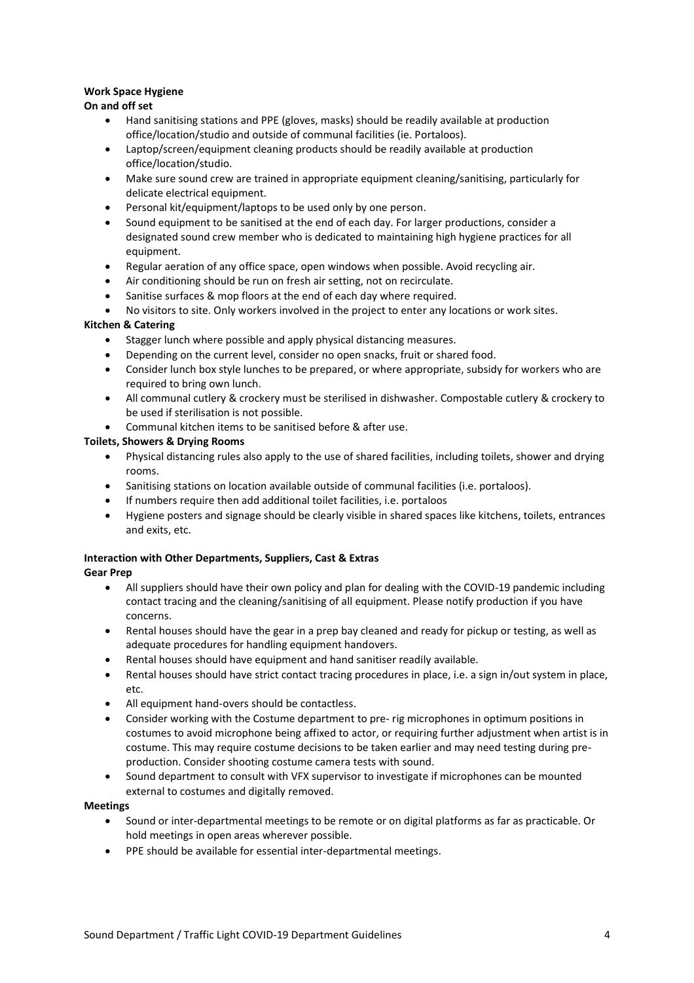# **Work Space Hygiene**

# **On and off set**

- Hand sanitising stations and PPE (gloves, masks) should be readily available at production office/location/studio and outside of communal facilities (ie. Portaloos).
- Laptop/screen/equipment cleaning products should be readily available at production office/location/studio.
- Make sure sound crew are trained in appropriate equipment cleaning/sanitising, particularly for delicate electrical equipment.
- Personal kit/equipment/laptops to be used only by one person.
- Sound equipment to be sanitised at the end of each day. For larger productions, consider a designated sound crew member who is dedicated to maintaining high hygiene practices for all equipment.
- Regular aeration of any office space, open windows when possible. Avoid recycling air.
- Air conditioning should be run on fresh air setting, not on recirculate.
- Sanitise surfaces & mop floors at the end of each day where required.
- No visitors to site. Only workers involved in the project to enter any locations or work sites.

# **Kitchen & Catering**

- Stagger lunch where possible and apply physical distancing measures.
- Depending on the current level, consider no open snacks, fruit or shared food.
- Consider lunch box style lunches to be prepared, or where appropriate, subsidy for workers who are required to bring own lunch.
- All communal cutlery & crockery must be sterilised in dishwasher. Compostable cutlery & crockery to be used if sterilisation is not possible.
- Communal kitchen items to be sanitised before & after use.

# **Toilets, Showers & Drying Rooms**

- Physical distancing rules also apply to the use of shared facilities, including toilets, shower and drying rooms.
- Sanitising stations on location available outside of communal facilities (i.e. portaloos).
- If numbers require then add additional toilet facilities, i.e. portaloos
- Hygiene posters and signage should be clearly visible in shared spaces like kitchens, toilets, entrances and exits, etc.

# **Interaction with Other Departments, Suppliers, Cast & Extras**

- **Gear Prep**
	- All suppliers should have their own policy and plan for dealing with the COVID-19 pandemic including contact tracing and the cleaning/sanitising of all equipment. Please notify production if you have concerns.
	- Rental houses should have the gear in a prep bay cleaned and ready for pickup or testing, as well as adequate procedures for handling equipment handovers.
	- Rental houses should have equipment and hand sanitiser readily available.
	- Rental houses should have strict contact tracing procedures in place, i.e. a sign in/out system in place, etc.
	- All equipment hand-overs should be contactless.
	- Consider working with the Costume department to pre- rig microphones in optimum positions in costumes to avoid microphone being affixed to actor, or requiring further adjustment when artist is in costume. This may require costume decisions to be taken earlier and may need testing during preproduction. Consider shooting costume camera tests with sound.
	- Sound department to consult with VFX supervisor to investigate if microphones can be mounted external to costumes and digitally removed.

### **Meetings**

- Sound or inter-departmental meetings to be remote or on digital platforms as far as practicable. Or hold meetings in open areas wherever possible.
- PPE should be available for essential inter-departmental meetings.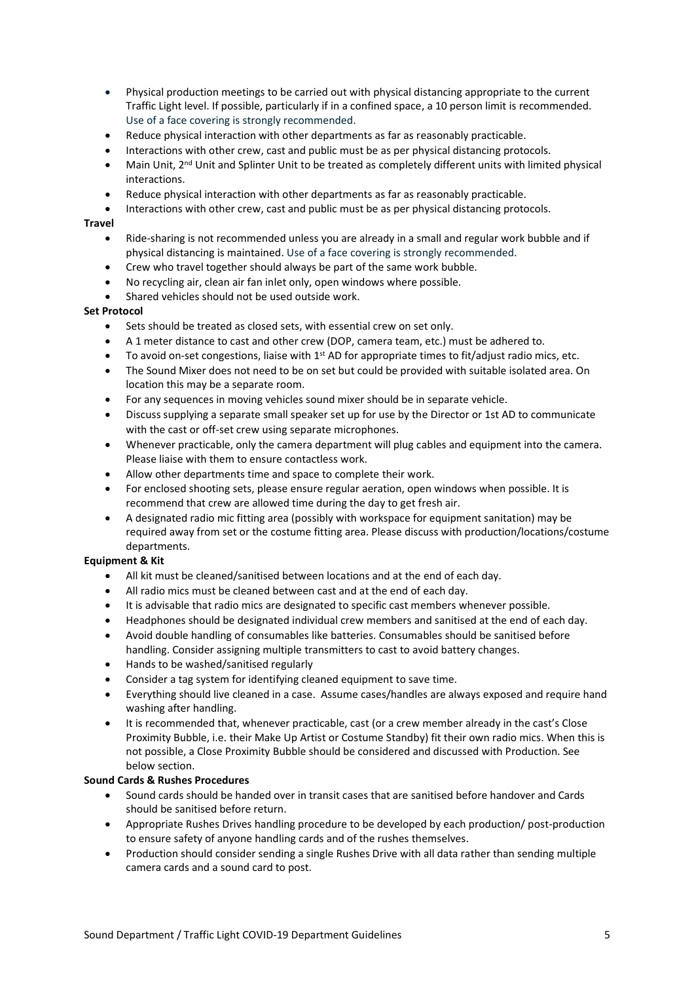- Physical production meetings to be carried out with physical distancing appropriate to the current Traffic Light level. If possible, particularly if in a confined space, a 10 person limit is recommended. Use of a face covering is strongly recommended.
- Reduce physical interaction with other departments as far as reasonably practicable.
- Interactions with other crew, cast and public must be as per physical distancing protocols.
- Main Unit, 2<sup>nd</sup> Unit and Splinter Unit to be treated as completely different units with limited physical interactions.
- Reduce physical interaction with other departments as far as reasonably practicable.
- Interactions with other crew, cast and public must be as per physical distancing protocols.

#### **Travel**

- Ride-sharing is not recommended unless you are already in a small and regular work bubble and if physical distancing is maintained. Use of a face covering is strongly recommended.
- Crew who travel together should always be part of the same work bubble.
- No recycling air, clean air fan inlet only, open windows where possible.
- Shared vehicles should not be used outside work.

### **Set Protocol**

- Sets should be treated as closed sets, with essential crew on set only.
- A 1 meter distance to cast and other crew (DOP, camera team, etc.) must be adhered to.
- To avoid on-set congestions, liaise with  $1<sup>st</sup>$  AD for appropriate times to fit/adjust radio mics, etc.
- The Sound Mixer does not need to be on set but could be provided with suitable isolated area. On location this may be a separate room.
- For any sequences in moving vehicles sound mixer should be in separate vehicle.
- Discuss supplying a separate small speaker set up for use by the Director or 1st AD to communicate with the cast or off-set crew using separate microphones.
- Whenever practicable, only the camera department will plug cables and equipment into the camera. Please liaise with them to ensure contactless work.
- Allow other departments time and space to complete their work.
- For enclosed shooting sets, please ensure regular aeration, open windows when possible. It is recommend that crew are allowed time during the day to get fresh air.
- A designated radio mic fitting area (possibly with workspace for equipment sanitation) may be required away from set or the costume fitting area. Please discuss with production/locations/costume departments.

# **Equipment & Kit**

- All kit must be cleaned/sanitised between locations and at the end of each day.
- All radio mics must be cleaned between cast and at the end of each day.
- It is advisable that radio mics are designated to specific cast members whenever possible.
- Headphones should be designated individual crew members and sanitised at the end of each day.
- Avoid double handling of consumables like batteries. Consumables should be sanitised before handling. Consider assigning multiple transmitters to cast to avoid battery changes.
- Hands to be washed/sanitised regularly
- Consider a tag system for identifying cleaned equipment to save time.
- Everything should live cleaned in a case. Assume cases/handles are always exposed and require hand washing after handling.
- It is recommended that, whenever practicable, cast (or a crew member already in the cast's Close Proximity Bubble, i.e. their Make Up Artist or Costume Standby) fit their own radio mics. When this is not possible, a Close Proximity Bubble should be considered and discussed with Production. See below section.

### **Sound Cards & Rushes Procedures**

- Sound cards should be handed over in transit cases that are sanitised before handover and Cards should be sanitised before return.
- Appropriate Rushes Drives handling procedure to be developed by each production/ post-production to ensure safety of anyone handling cards and of the rushes themselves.
- Production should consider sending a single Rushes Drive with all data rather than sending multiple camera cards and a sound card to post.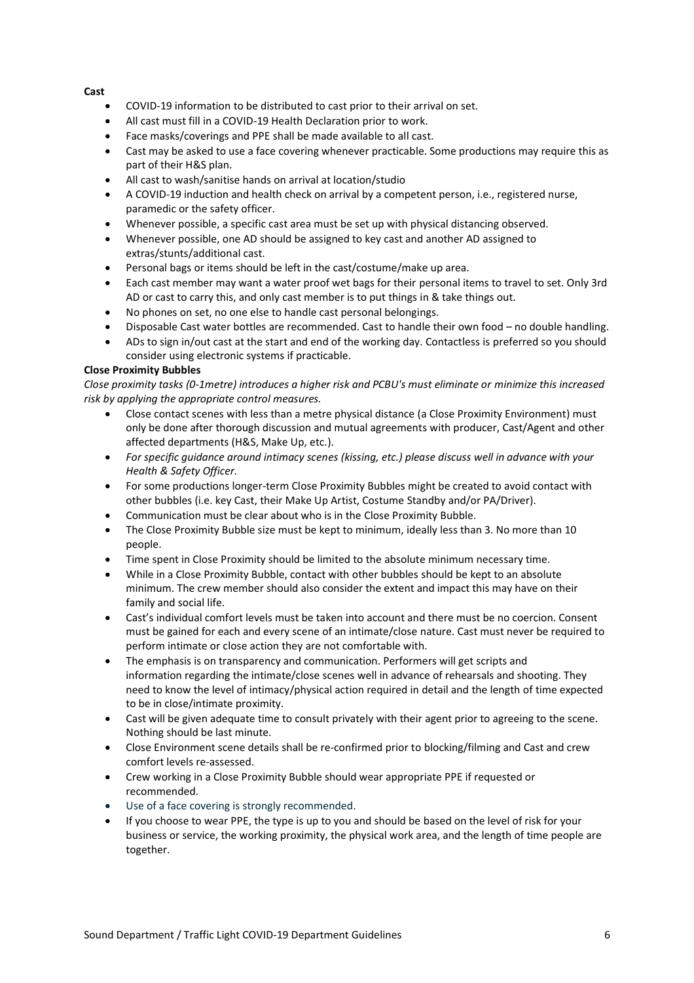### **Cast**

- COVID-19 information to be distributed to cast prior to their arrival on set.
- All cast must fill in a COVID-19 Health Declaration prior to work.
- Face masks/coverings and PPE shall be made available to all cast.
- Cast may be asked to use a face covering whenever practicable. Some productions may require this as part of their H&S plan.
- All cast to wash/sanitise hands on arrival at location/studio
- A COVID-19 induction and health check on arrival by a competent person, i.e., registered nurse, paramedic or the safety officer.
- Whenever possible, a specific cast area must be set up with physical distancing observed.
- Whenever possible, one AD should be assigned to key cast and another AD assigned to extras/stunts/additional cast.
- Personal bags or items should be left in the cast/costume/make up area.
- Each cast member may want a water proof wet bags for their personal items to travel to set. Only 3rd AD or cast to carry this, and only cast member is to put things in & take things out.
- No phones on set, no one else to handle cast personal belongings.
- Disposable Cast water bottles are recommended. Cast to handle their own food no double handling.
- ADs to sign in/out cast at the start and end of the working day. Contactless is preferred so you should consider using electronic systems if practicable.

### **Close Proximity Bubbles**

*Close proximity tasks (0-1metre) introduces a higher risk and PCBU's must eliminate or minimize this increased risk by applying the appropriate control measures.* 

- Close contact scenes with less than a metre physical distance (a Close Proximity Environment) must only be done after thorough discussion and mutual agreements with producer, Cast/Agent and other affected departments (H&S, Make Up, etc.).
- *For specific guidance around intimacy scenes (kissing, etc.) please discuss well in advance with your Health & Safety Officer.*
- For some productions longer-term Close Proximity Bubbles might be created to avoid contact with other bubbles (i.e. key Cast, their Make Up Artist, Costume Standby and/or PA/Driver).
- Communication must be clear about who is in the Close Proximity Bubble.
- The Close Proximity Bubble size must be kept to minimum, ideally less than 3. No more than 10 people.
- Time spent in Close Proximity should be limited to the absolute minimum necessary time.
- While in a Close Proximity Bubble, contact with other bubbles should be kept to an absolute minimum. The crew member should also consider the extent and impact this may have on their family and social life.
- Cast's individual comfort levels must be taken into account and there must be no coercion. Consent must be gained for each and every scene of an intimate/close nature. Cast must never be required to perform intimate or close action they are not comfortable with.
- The emphasis is on transparency and communication. Performers will get scripts and information regarding the intimate/close scenes well in advance of rehearsals and shooting. They need to know the level of intimacy/physical action required in detail and the length of time expected to be in close/intimate proximity.
- Cast will be given adequate time to consult privately with their agent prior to agreeing to the scene. Nothing should be last minute.
- Close Environment scene details shall be re-confirmed prior to blocking/filming and Cast and crew comfort levels re-assessed.
- Crew working in a Close Proximity Bubble should wear appropriate PPE if requested or recommended.
- Use of a face covering is strongly recommended.
- If you choose to wear PPE, the type is up to you and should be based on the level of risk for your business or service, the working proximity, the physical work area, and the length of time people are together.